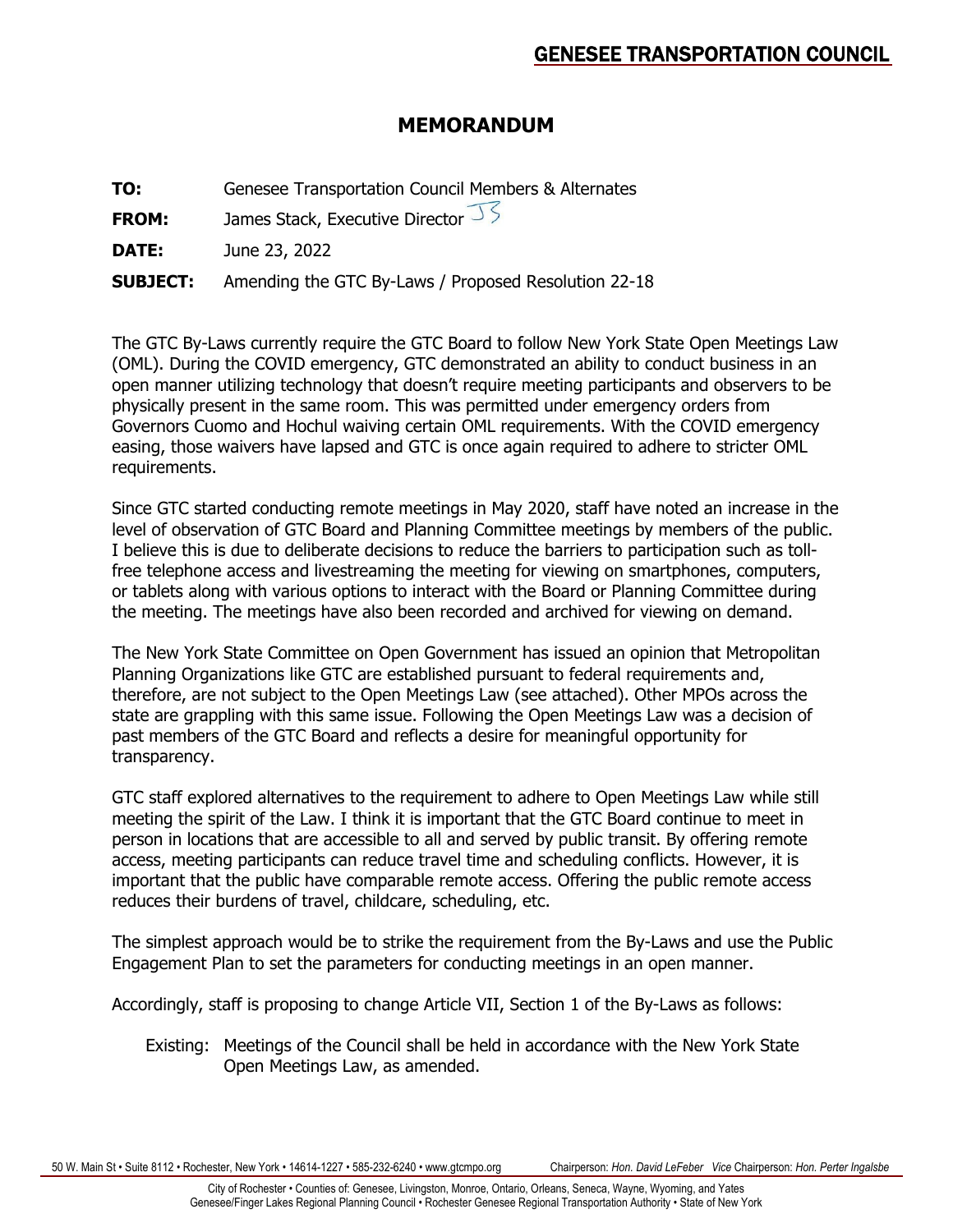# **MEMORANDUM**

**TO:** Genesee Transportation Council Members & Alternates

**FROM:** James Stack, Executive Director

**DATE:** June 23, 2022

**SUBJECT:** Amending the GTC By-Laws / Proposed Resolution 22-18

The GTC By-Laws currently require the GTC Board to follow New York State Open Meetings Law (OML). During the COVID emergency, GTC demonstrated an ability to conduct business in an open manner utilizing technology that doesn't require meeting participants and observers to be physically present in the same room. This was permitted under emergency orders from Governors Cuomo and Hochul waiving certain OML requirements. With the COVID emergency easing, those waivers have lapsed and GTC is once again required to adhere to stricter OML requirements.

Since GTC started conducting remote meetings in May 2020, staff have noted an increase in the level of observation of GTC Board and Planning Committee meetings by members of the public. I believe this is due to deliberate decisions to reduce the barriers to participation such as tollfree telephone access and livestreaming the meeting for viewing on smartphones, computers, or tablets along with various options to interact with the Board or Planning Committee during the meeting. The meetings have also been recorded and archived for viewing on demand.

The New York State Committee on Open Government has issued an opinion that Metropolitan Planning Organizations like GTC are established pursuant to federal requirements and, therefore, are not subject to the Open Meetings Law (see attached). Other MPOs across the state are grappling with this same issue. Following the Open Meetings Law was a decision of past members of the GTC Board and reflects a desire for meaningful opportunity for transparency.

GTC staff explored alternatives to the requirement to adhere to Open Meetings Law while still meeting the spirit of the Law. I think it is important that the GTC Board continue to meet in person in locations that are accessible to all and served by public transit. By offering remote access, meeting participants can reduce travel time and scheduling conflicts. However, it is important that the public have comparable remote access. Offering the public remote access reduces their burdens of travel, childcare, scheduling, etc.

The simplest approach would be to strike the requirement from the By-Laws and use the Public Engagement Plan to set the parameters for conducting meetings in an open manner.

Accordingly, staff is proposing to change Article VII, Section 1 of the By-Laws as follows:

Existing: Meetings of the Council shall be held in accordance with the New York State Open Meetings Law, as amended.

50 W. Main St • Suite 8112 • Rochester, New York • 14614-1227 • 585-232-6240 • www.gtcmpo.org Chairperson: *Hon. David LeFeber Vice* Chairperson: *Hon. Perter Ingalsbe*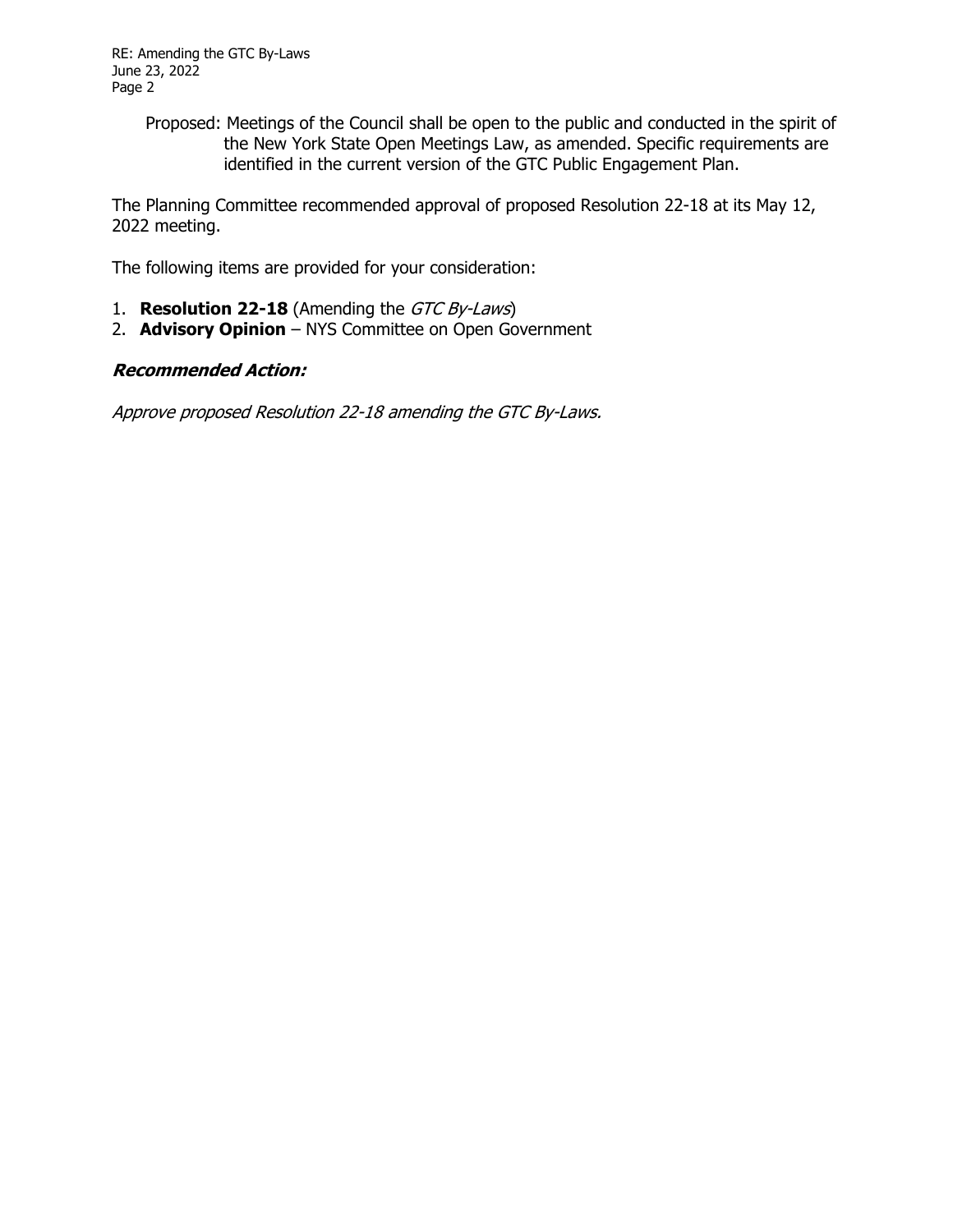Proposed: Meetings of the Council shall be open to the public and conducted in the spirit of the New York State Open Meetings Law, as amended. Specific requirements are identified in the current version of the GTC Public Engagement Plan.

The Planning Committee recommended approval of proposed Resolution 22-18 at its May 12, 2022 meeting.

The following items are provided for your consideration:

- 1. **Resolution 22-18** (Amending the GTC By-Laws)
- 2. **Advisory Opinion** NYS Committee on Open Government

# **Recommended Action:**

Approve proposed Resolution 22-18 amending the GTC By-Laws.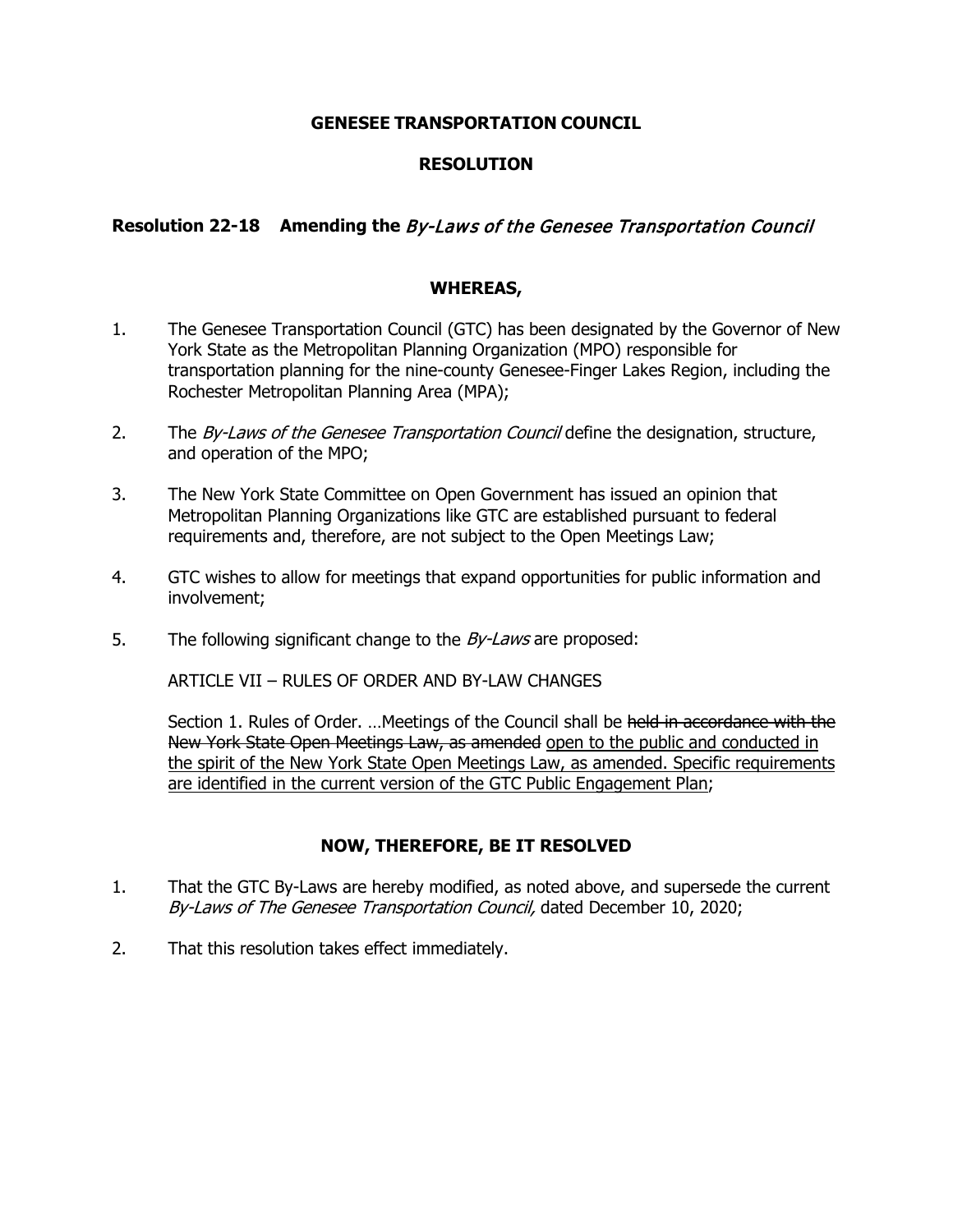#### **GENESEE TRANSPORTATION COUNCIL**

### **RESOLUTION**

# **Resolution 22-18 Amending the** By-Laws of the Genesee Transportation Council

#### **WHEREAS,**

- 1. The Genesee Transportation Council (GTC) has been designated by the Governor of New York State as the Metropolitan Planning Organization (MPO) responsible for transportation planning for the nine-county Genesee-Finger Lakes Region, including the Rochester Metropolitan Planning Area (MPA);
- 2. The By-Laws of the Genesee Transportation Council define the designation, structure, and operation of the MPO;
- 3. The New York State Committee on Open Government has issued an opinion that Metropolitan Planning Organizations like GTC are established pursuant to federal requirements and, therefore, are not subject to the Open Meetings Law;
- 4. GTC wishes to allow for meetings that expand opportunities for public information and involvement;
- 5. The following significant change to the  $By$ -Laws are proposed:

ARTICLE VII – RULES OF ORDER AND BY-LAW CHANGES

Section 1. Rules of Order. ... Meetings of the Council shall be held in accordance with the New York State Open Meetings Law, as amended open to the public and conducted in the spirit of the New York State Open Meetings Law, as amended. Specific requirements are identified in the current version of the GTC Public Engagement Plan;

#### **NOW, THEREFORE, BE IT RESOLVED**

- 1. That the GTC By-Laws are hereby modified, as noted above, and supersede the current By-Laws of The Genesee Transportation Council, dated December 10, 2020;
- 2. That this resolution takes effect immediately.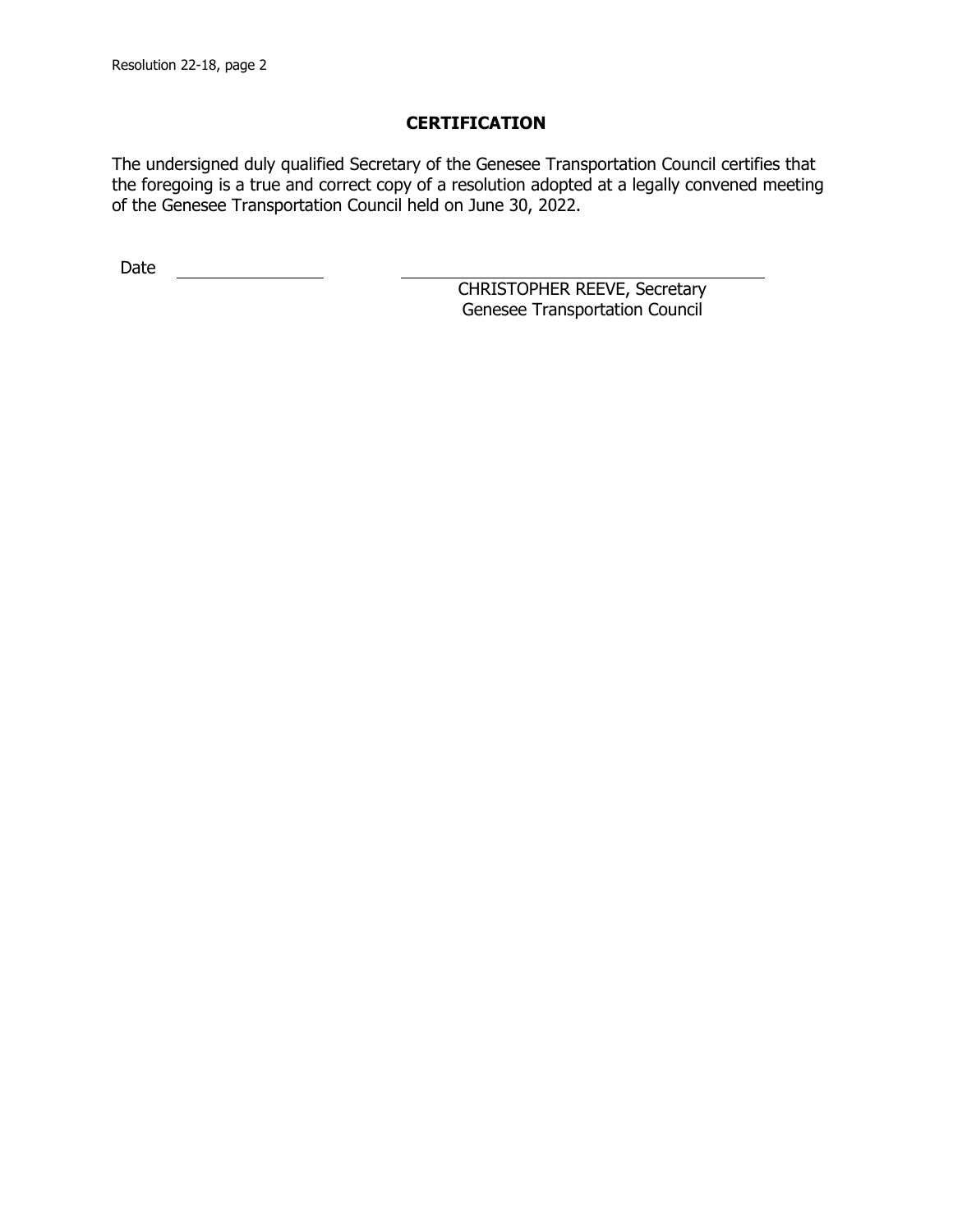# **CERTIFICATION**

The undersigned duly qualified Secretary of the Genesee Transportation Council certifies that the foregoing is a true and correct copy of a resolution adopted at a legally convened meeting of the Genesee Transportation Council held on June 30, 2022.

Date <u>\_\_\_\_\_\_\_\_\_\_\_\_\_\_</u>

CHRISTOPHER REEVE, Secretary Genesee Transportation Council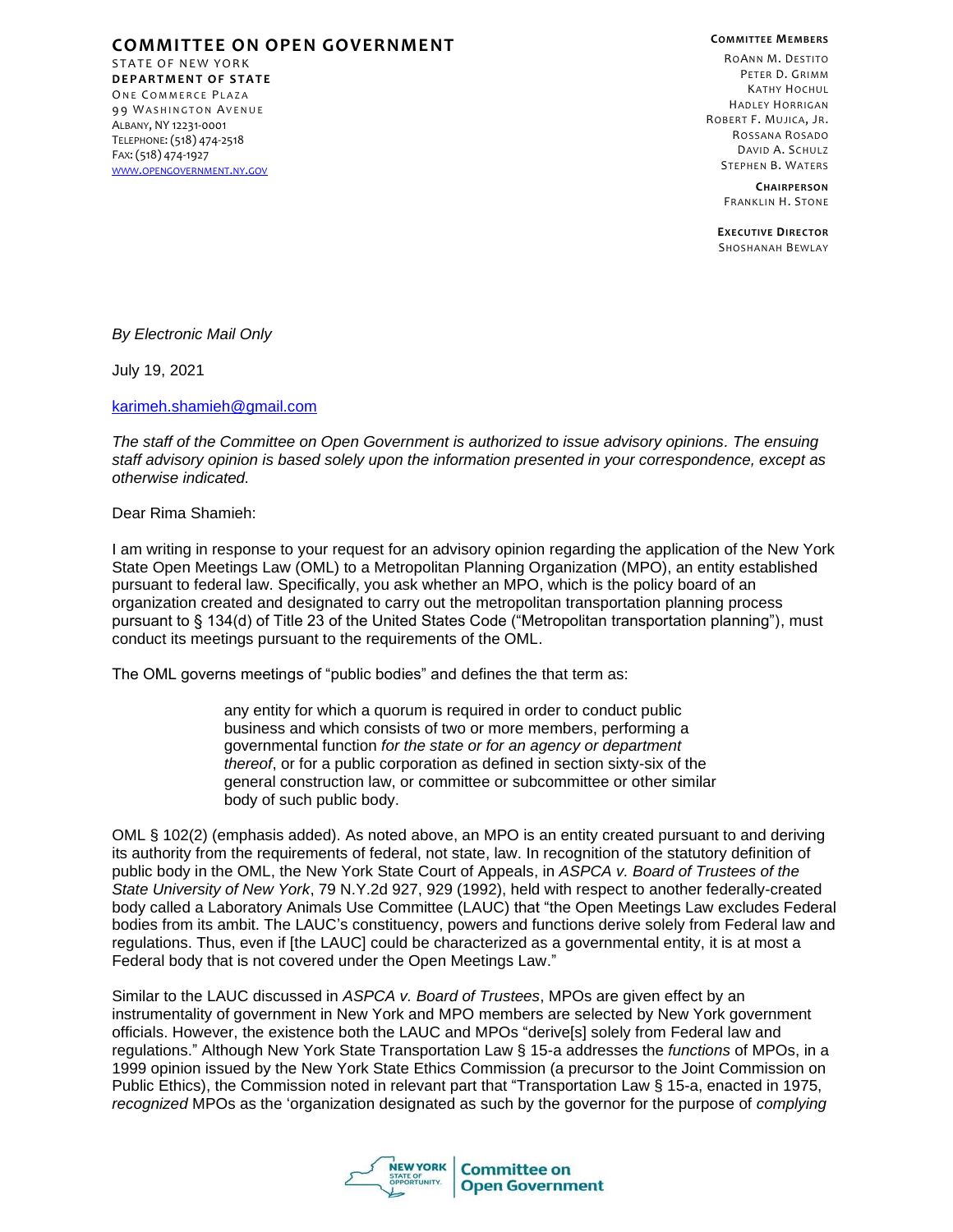**COMMITTEE ON OPEN GOVERNMENT** STATE OF NEW YORK **D E P A R T M E N T O F S T A T E** ONE COMMERCE PLAZA

99 WASHINGTON AVENUE ALBANY, NY 12231-0001 TELEPHONE: (518) 474-2518 FAX: (518) 474-1927 WWW.[OPENGOVERNMENT](http://www.opengovernment.ny.gov/).NY.GOV **COMMITTEE MEMBERS**

ROANN M. DESTITO PETER D. GRIMM KATHY HOCHUL HADLEY HORRIGAN ROBERT F. MUJICA, JR. ROSSANA ROSADO DAVID A. SCHULZ STEPHEN B. WATERS

> **CHAIRPERSON** FRANKLIN H. STONE

**EXECUTIVE DIRECTOR** SHOSHANAH BEWLAY

*By Electronic Mail Only* 

July 19, 2021

[karimeh.shamieh@gmail.com](mailto:karimeh.shamieh@gmail.com)

*The staff of the Committee on Open Government is authorized to issue advisory opinions. The ensuing staff advisory opinion is based solely upon the information presented in your correspondence, except as otherwise indicated.*

Dear Rima Shamieh:

I am writing in response to your request for an advisory opinion regarding the application of the New York State Open Meetings Law (OML) to a Metropolitan Planning Organization (MPO), an entity established pursuant to federal law. Specifically, you ask whether an MPO, which is the policy board of an organization created and designated to carry out the metropolitan transportation planning process pursuant to § 134(d) of Title 23 of the United States Code ("Metropolitan transportation planning"), must conduct its meetings pursuant to the requirements of the OML.

The OML governs meetings of "public bodies" and defines the that term as:

any entity for which a quorum is required in order to conduct public business and which consists of two or more members, performing a governmental function *for the state or for an agency or department thereof*, or for a public corporation as defined in section sixty-six of the general construction law, or committee or subcommittee or other similar body of such public body.

OML § 102(2) (emphasis added). As noted above, an MPO is an entity created pursuant to and deriving its authority from the requirements of federal, not state, law. In recognition of the statutory definition of public body in the OML, the New York State Court of Appeals, in *ASPCA v. Board of Trustees of the State University of New York*, 79 N.Y.2d 927, 929 (1992), held with respect to another federally-created body called a Laboratory Animals Use Committee (LAUC) that "the Open Meetings Law excludes Federal bodies from its ambit. The LAUC's constituency, powers and functions derive solely from Federal law and regulations. Thus, even if [the LAUC] could be characterized as a governmental entity, it is at most a Federal body that is not covered under the Open Meetings Law."

Similar to the LAUC discussed in *ASPCA v. Board of Trustees*, MPOs are given effect by an instrumentality of government in New York and MPO members are selected by New York government officials. However, the existence both the LAUC and MPOs "derive[s] solely from Federal law and regulations." Although New York State Transportation Law § 15-a addresses the *functions* of MPOs, in a 1999 opinion issued by the New York State Ethics Commission (a precursor to the Joint Commission on Public Ethics), the Commission noted in relevant part that "Transportation Law § 15-a, enacted in 1975, *recognized* MPOs as the 'organization designated as such by the governor for the purpose of *complying*